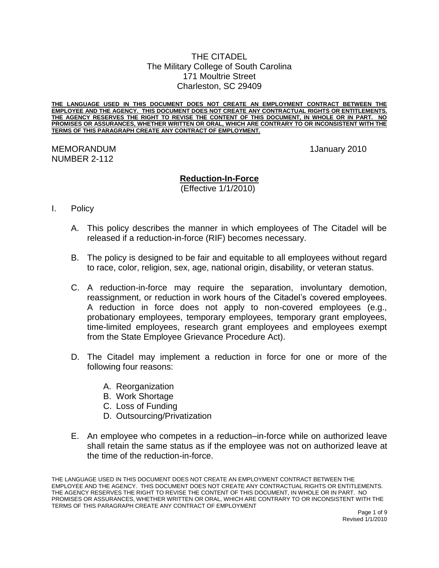## THE CITADEL The Military College of South Carolina 171 Moultrie Street Charleston, SC 29409

**THE LANGUAGE USED IN THIS DOCUMENT DOES NOT CREATE AN EMPLOYMENT CONTRACT BETWEEN THE EMPLOYEE AND THE AGENCY. THIS DOCUMENT DOES NOT CREATE ANY CONTRACTUAL RIGHTS OR ENTITLEMENTS. THE AGENCY RESERVES THE RIGHT TO REVISE THE CONTENT OF THIS DOCUMENT, IN WHOLE OR IN PART. NO PROMISES OR ASSURANCES, WHETHER WRITTEN OR ORAL, WHICH ARE CONTRARY TO OR INCONSISTENT WITH THE TERMS OF THIS PARAGRAPH CREATE ANY CONTRACT OF EMPLOYMENT.**

## MEMORANDUM 1January 2010 NUMBER 2-112

# **Reduction-In-Force**

(Effective 1/1/2010)

# I. Policy

- A. This policy describes the manner in which employees of The Citadel will be released if a reduction-in-force (RIF) becomes necessary.
- B. The policy is designed to be fair and equitable to all employees without regard to race, color, religion, sex, age, national origin, disability, or veteran status.
- C. A reduction-in-force may require the separation, involuntary demotion, reassignment, or reduction in work hours of the Citadel's covered employees. A reduction in force does not apply to non-covered employees (e.g., probationary employees, temporary employees, temporary grant employees, time-limited employees, research grant employees and employees exempt from the State Employee Grievance Procedure Act).
- D. The Citadel may implement a reduction in force for one or more of the following four reasons:
	- A. Reorganization
	- B. Work Shortage
	- C. Loss of Funding
	- D. Outsourcing/Privatization
- E. An employee who competes in a reduction–in-force while on authorized leave shall retain the same status as if the employee was not on authorized leave at the time of the reduction-in-force.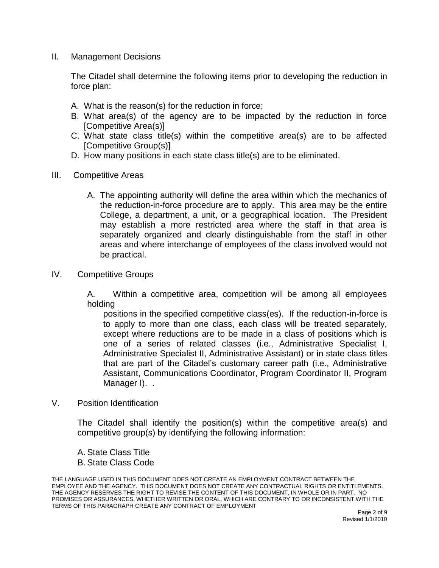II. Management Decisions

The Citadel shall determine the following items prior to developing the reduction in force plan:

- A. What is the reason(s) for the reduction in force;
- B. What area(s) of the agency are to be impacted by the reduction in force [Competitive Area(s)]
- C. What state class title(s) within the competitive area(s) are to be affected [Competitive Group(s)]
- D. How many positions in each state class title(s) are to be eliminated.
- III. Competitive Areas
	- A. The appointing authority will define the area within which the mechanics of the reduction-in-force procedure are to apply. This area may be the entire College, a department, a unit, or a geographical location. The President may establish a more restricted area where the staff in that area is separately organized and clearly distinguishable from the staff in other areas and where interchange of employees of the class involved would not be practical.
- IV. Competitive Groups

A. Within a competitive area, competition will be among all employees holding

positions in the specified competitive class(es). If the reduction-in-force is to apply to more than one class, each class will be treated separately, except where reductions are to be made in a class of positions which is one of a series of related classes (i.e., Administrative Specialist I, Administrative Specialist II, Administrative Assistant) or in state class titles that are part of the Citadel's customary career path (i.e., Administrative Assistant, Communications Coordinator, Program Coordinator II, Program Manager I). .

V. Position Identification

The Citadel shall identify the position(s) within the competitive area(s) and competitive group(s) by identifying the following information:

A. State Class Title B. State Class Code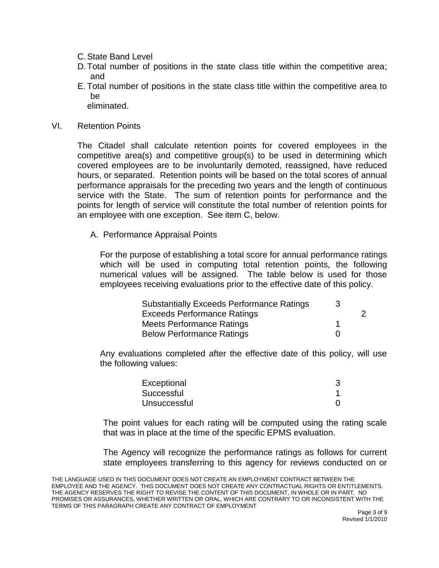- C.State Band Level
- D.Total number of positions in the state class title within the competitive area; and
- E. Total number of positions in the state class title within the competitive area to be

eliminated.

VI. Retention Points

The Citadel shall calculate retention points for covered employees in the competitive area(s) and competitive group(s) to be used in determining which covered employees are to be involuntarily demoted, reassigned, have reduced hours, or separated. Retention points will be based on the total scores of annual performance appraisals for the preceding two years and the length of continuous service with the State. The sum of retention points for performance and the points for length of service will constitute the total number of retention points for an employee with one exception. See item C, below.

A. Performance Appraisal Points

For the purpose of establishing a total score for annual performance ratings which will be used in computing total retention points, the following numerical values will be assigned. The table below is used for those employees receiving evaluations prior to the effective date of this policy.

| <b>Substantially Exceeds Performance Ratings</b> | -3           |   |
|--------------------------------------------------|--------------|---|
| <b>Exceeds Performance Ratings</b>               |              | 2 |
| <b>Meets Performance Ratings</b>                 |              |   |
| <b>Below Performance Ratings</b>                 | $\mathbf{I}$ |   |

Any evaluations completed after the effective date of this policy, will use the following values:

| Exceptional  |  |
|--------------|--|
| Successful   |  |
| Unsuccessful |  |

The point values for each rating will be computed using the rating scale that was in place at the time of the specific EPMS evaluation.

The Agency will recognize the performance ratings as follows for current state employees transferring to this agency for reviews conducted on or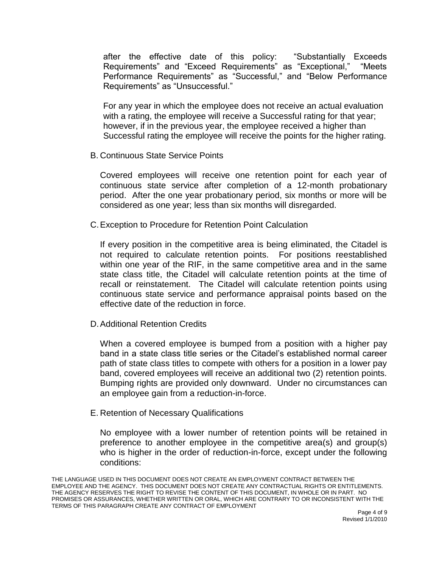after the effective date of this policy: "Substantially Exceeds Requirements" and "Exceed Requirements" as "Exceptional," "Meets Performance Requirements" as "Successful," and "Below Performance Requirements" as "Unsuccessful."

For any year in which the employee does not receive an actual evaluation with a rating, the employee will receive a Successful rating for that year; however, if in the previous year, the employee received a higher than Successful rating the employee will receive the points for the higher rating.

B. Continuous State Service Points

Covered employees will receive one retention point for each year of continuous state service after completion of a 12-month probationary period. After the one year probationary period, six months or more will be considered as one year; less than six months will disregarded.

C.Exception to Procedure for Retention Point Calculation

If every position in the competitive area is being eliminated, the Citadel is not required to calculate retention points. For positions reestablished within one year of the RIF, in the same competitive area and in the same state class title, the Citadel will calculate retention points at the time of recall or reinstatement. The Citadel will calculate retention points using continuous state service and performance appraisal points based on the effective date of the reduction in force.

D.Additional Retention Credits

When a covered employee is bumped from a position with a higher pay band in a state class title series or the Citadel's established normal career path of state class titles to compete with others for a position in a lower pay band, covered employees will receive an additional two (2) retention points. Bumping rights are provided only downward. Under no circumstances can an employee gain from a reduction-in-force.

E. Retention of Necessary Qualifications

No employee with a lower number of retention points will be retained in preference to another employee in the competitive area(s) and group(s) who is higher in the order of reduction-in-force, except under the following conditions: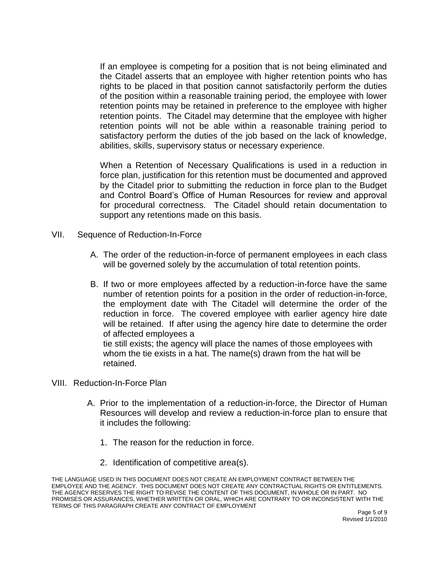If an employee is competing for a position that is not being eliminated and the Citadel asserts that an employee with higher retention points who has rights to be placed in that position cannot satisfactorily perform the duties of the position within a reasonable training period, the employee with lower retention points may be retained in preference to the employee with higher retention points. The Citadel may determine that the employee with higher retention points will not be able within a reasonable training period to satisfactory perform the duties of the job based on the lack of knowledge, abilities, skills, supervisory status or necessary experience.

When a Retention of Necessary Qualifications is used in a reduction in force plan, justification for this retention must be documented and approved by the Citadel prior to submitting the reduction in force plan to the Budget and Control Board's Office of Human Resources for review and approval for procedural correctness. The Citadel should retain documentation to support any retentions made on this basis.

- VII. Sequence of Reduction-In-Force
	- A. The order of the reduction-in-force of permanent employees in each class will be governed solely by the accumulation of total retention points.
	- B. If two or more employees affected by a reduction-in-force have the same number of retention points for a position in the order of reduction-in-force, the employment date with The Citadel will determine the order of the reduction in force. The covered employee with earlier agency hire date will be retained. If after using the agency hire date to determine the order of affected employees a tie still exists; the agency will place the names of those employees with whom the tie exists in a hat. The name(s) drawn from the hat will be
- VIII. Reduction-In-Force Plan

retained.

- A. Prior to the implementation of a reduction-in-force, the Director of Human Resources will develop and review a reduction-in-force plan to ensure that it includes the following:
	- 1. The reason for the reduction in force.
	- 2. Identification of competitive area(s).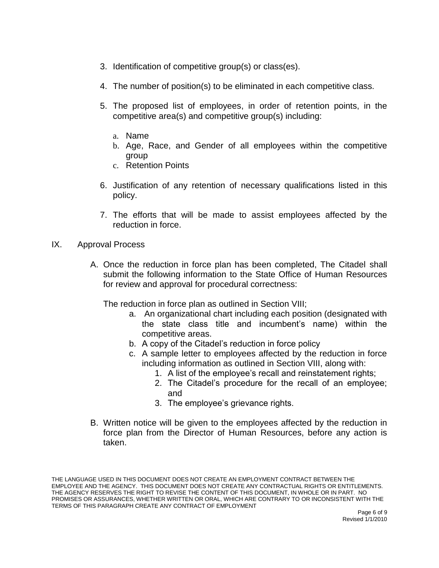- 3. Identification of competitive group(s) or class(es).
- 4. The number of position(s) to be eliminated in each competitive class.
- 5. The proposed list of employees, in order of retention points, in the competitive area(s) and competitive group(s) including:
	- a. Name
	- b. Age, Race, and Gender of all employees within the competitive group
	- c. Retention Points
- 6. Justification of any retention of necessary qualifications listed in this policy.
- 7. The efforts that will be made to assist employees affected by the reduction in force.
- IX. Approval Process
	- A. Once the reduction in force plan has been completed, The Citadel shall submit the following information to the State Office of Human Resources for review and approval for procedural correctness:

The reduction in force plan as outlined in Section VIII;

- a. An organizational chart including each position (designated with the state class title and incumbent's name) within the competitive areas.
- b. A copy of the Citadel's reduction in force policy
- c. A sample letter to employees affected by the reduction in force including information as outlined in Section VIII, along with:
	- 1. A list of the employee's recall and reinstatement rights;
	- 2. The Citadel's procedure for the recall of an employee; and
	- 3. The employee's grievance rights.
- B. Written notice will be given to the employees affected by the reduction in force plan from the Director of Human Resources, before any action is taken.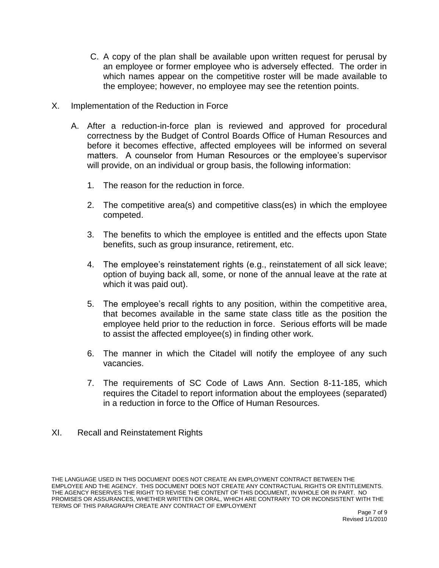- C. A copy of the plan shall be available upon written request for perusal by an employee or former employee who is adversely effected. The order in which names appear on the competitive roster will be made available to the employee; however, no employee may see the retention points.
- X. Implementation of the Reduction in Force
	- A. After a reduction-in-force plan is reviewed and approved for procedural correctness by the Budget of Control Boards Office of Human Resources and before it becomes effective, affected employees will be informed on several matters. A counselor from Human Resources or the employee's supervisor will provide, on an individual or group basis, the following information:
		- 1. The reason for the reduction in force.
		- 2. The competitive area(s) and competitive class(es) in which the employee competed.
		- 3. The benefits to which the employee is entitled and the effects upon State benefits, such as group insurance, retirement, etc.
		- 4. The employee's reinstatement rights (e.g., reinstatement of all sick leave; option of buying back all, some, or none of the annual leave at the rate at which it was paid out).
		- 5. The employee's recall rights to any position, within the competitive area, that becomes available in the same state class title as the position the employee held prior to the reduction in force. Serious efforts will be made to assist the affected employee(s) in finding other work.
		- 6. The manner in which the Citadel will notify the employee of any such vacancies.
		- 7. The requirements of SC Code of Laws Ann. Section 8-11-185, which requires the Citadel to report information about the employees (separated) in a reduction in force to the Office of Human Resources.
- XI. Recall and Reinstatement Rights

THE LANGUAGE USED IN THIS DOCUMENT DOES NOT CREATE AN EMPLOYMENT CONTRACT BETWEEN THE EMPLOYEE AND THE AGENCY. THIS DOCUMENT DOES NOT CREATE ANY CONTRACTUAL RIGHTS OR ENTITLEMENTS. THE AGENCY RESERVES THE RIGHT TO REVISE THE CONTENT OF THIS DOCUMENT, IN WHOLE OR IN PART. NO PROMISES OR ASSURANCES, WHETHER WRITTEN OR ORAL, WHICH ARE CONTRARY TO OR INCONSISTENT WITH THE TERMS OF THIS PARAGRAPH CREATE ANY CONTRACT OF EMPLOYMENT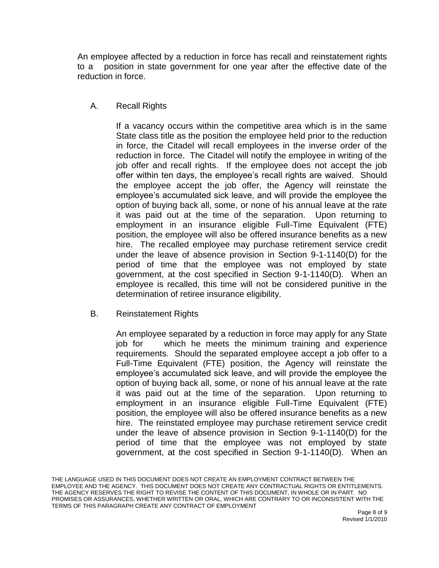An employee affected by a reduction in force has recall and reinstatement rights to a position in state government for one year after the effective date of the reduction in force.

A. Recall Rights

If a vacancy occurs within the competitive area which is in the same State class title as the position the employee held prior to the reduction in force, the Citadel will recall employees in the inverse order of the reduction in force. The Citadel will notify the employee in writing of the job offer and recall rights. If the employee does not accept the job offer within ten days, the employee's recall rights are waived. Should the employee accept the job offer, the Agency will reinstate the employee's accumulated sick leave, and will provide the employee the option of buying back all, some, or none of his annual leave at the rate it was paid out at the time of the separation. Upon returning to employment in an insurance eligible Full-Time Equivalent (FTE) position, the employee will also be offered insurance benefits as a new hire. The recalled employee may purchase retirement service credit under the leave of absence provision in Section 9-1-1140(D) for the period of time that the employee was not employed by state government, at the cost specified in Section 9-1-1140(D). When an employee is recalled, this time will not be considered punitive in the determination of retiree insurance eligibility.

B. Reinstatement Rights

An employee separated by a reduction in force may apply for any State job for which he meets the minimum training and experience requirements. Should the separated employee accept a job offer to a Full-Time Equivalent (FTE) position, the Agency will reinstate the employee's accumulated sick leave, and will provide the employee the option of buying back all, some, or none of his annual leave at the rate it was paid out at the time of the separation. Upon returning to employment in an insurance eligible Full-Time Equivalent (FTE) position, the employee will also be offered insurance benefits as a new hire. The reinstated employee may purchase retirement service credit under the leave of absence provision in Section 9-1-1140(D) for the period of time that the employee was not employed by state government, at the cost specified in Section 9-1-1140(D). When an